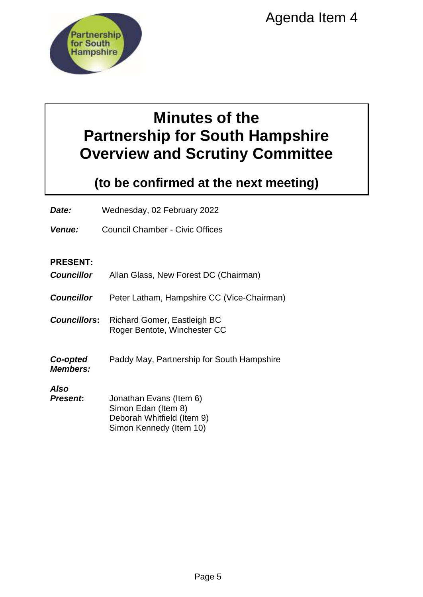

# **Minutes of the Partnership for South Hampshire Overview and Scrutiny Committee**

# **(to be confirmed at the next meeting)**

# **PRESENT:**

| <b>Partnership</b><br>for South<br><b>Hampshire</b>                                                       | Agenda Item 4                                                                                           |  |
|-----------------------------------------------------------------------------------------------------------|---------------------------------------------------------------------------------------------------------|--|
| <b>Minutes of the</b><br><b>Partnership for South Hampshire</b><br><b>Overview and Scrutiny Committee</b> |                                                                                                         |  |
|                                                                                                           | (to be confirmed at the next meeting)                                                                   |  |
| Date:                                                                                                     | Wednesday, 02 February 2022                                                                             |  |
| Venue:                                                                                                    | <b>Council Chamber - Civic Offices</b>                                                                  |  |
| <b>PRESENT:</b><br><b>Councillor</b>                                                                      | Allan Glass, New Forest DC (Chairman)                                                                   |  |
| <b>Councillor</b>                                                                                         | Peter Latham, Hampshire CC (Vice-Chairman)                                                              |  |
| <b>Councillors:</b>                                                                                       | <b>Richard Gomer, Eastleigh BC</b><br>Roger Bentote, Winchester CC                                      |  |
| Co-opted<br><b>Members:</b>                                                                               | Paddy May, Partnership for South Hampshire                                                              |  |
| Also<br><b>Present:</b>                                                                                   | Jonathan Evans (Item 6)<br>Simon Edan (Item 8)<br>Deborah Whitfield (Item 9)<br>Simon Kennedy (Item 10) |  |
|                                                                                                           | Page 5                                                                                                  |  |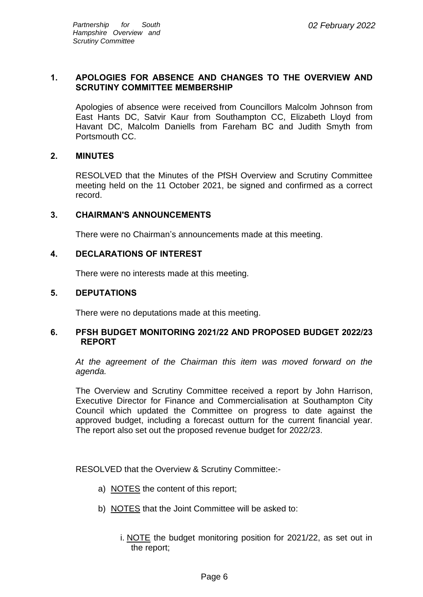# **1. APOLOGIES FOR ABSENCE AND CHANGES TO THE OVERVIEW AND SCRUTINY COMMITTEE MEMBERSHIP**

Apologies of absence were received from Councillors Malcolm Johnson from East Hants DC, Satvir Kaur from Southampton CC, Elizabeth Lloyd from Havant DC, Malcolm Daniells from Fareham BC and Judith Smyth from Portsmouth CC.

# **2. MINUTES**

RESOLVED that the Minutes of the PfSH Overview and Scrutiny Committee meeting held on the 11 October 2021, be signed and confirmed as a correct record.

#### **3. CHAIRMAN'S ANNOUNCEMENTS**

There were no Chairman's announcements made at this meeting.

#### **4. DECLARATIONS OF INTEREST**

There were no interests made at this meeting.

#### **5. DEPUTATIONS**

There were no deputations made at this meeting.

#### **6. PFSH BUDGET MONITORING 2021/22 AND PROPOSED BUDGET 2022/23 REPORT**

*At the agreement of the Chairman this item was moved forward on the agenda.*

The Overview and Scrutiny Committee received a report by John Harrison, Executive Director for Finance and Commercialisation at Southampton City Council which updated the Committee on progress to date against the approved budget, including a forecast outturn for the current financial year. The report also set out the proposed revenue budget for 2022/23.

RESOLVED that the Overview & Scrutiny Committee:-

- a) NOTES the content of this report;
- b) NOTES that the Joint Committee will be asked to:
	- i. NOTE the budget monitoring position for 2021/22, as set out in the report;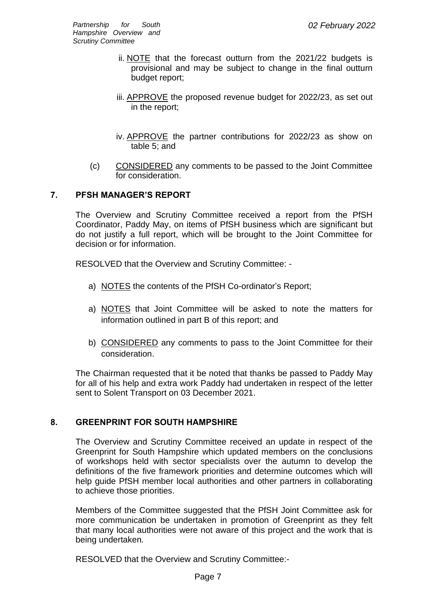- ii. NOTE that the forecast outturn from the 2021/22 budgets is provisional and may be subject to change in the final outturn budget report;
- iii. APPROVE the proposed revenue budget for 2022/23, as set out in the report;
- iv. APPROVE the partner contributions for 2022/23 as show on table 5; and
- (c) CONSIDERED any comments to be passed to the Joint Committee for consideration.

# **7. PFSH MANAGER'S REPORT**

The Overview and Scrutiny Committee received a report from the PfSH Coordinator, Paddy May, on items of PfSH business which are significant but do not justify a full report, which will be brought to the Joint Committee for decision or for information.

RESOLVED that the Overview and Scrutiny Committee: -

- a) NOTES the contents of the PfSH Co-ordinator's Report;
- a) NOTES that Joint Committee will be asked to note the matters for information outlined in part B of this report; and
- b) CONSIDERED any comments to pass to the Joint Committee for their consideration.

The Chairman requested that it be noted that thanks be passed to Paddy May for all of his help and extra work Paddy had undertaken in respect of the letter sent to Solent Transport on 03 December 2021.

# **8. GREENPRINT FOR SOUTH HAMPSHIRE**

The Overview and Scrutiny Committee received an update in respect of the Greenprint for South Hampshire which updated members on the conclusions of workshops held with sector specialists over the autumn to develop the definitions of the five framework priorities and determine outcomes which will help guide PfSH member local authorities and other partners in collaborating to achieve those priorities.

Members of the Committee suggested that the PfSH Joint Committee ask for more communication be undertaken in promotion of Greenprint as they felt that many local authorities were not aware of this project and the work that is being undertaken*.*

RESOLVED that the Overview and Scrutiny Committee:-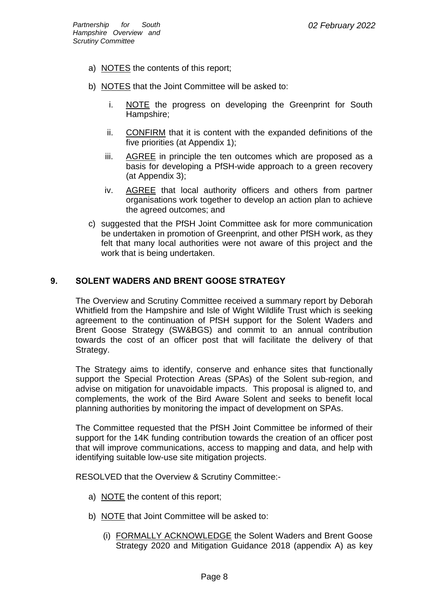- a) NOTES the contents of this report;
- b) NOTES that the Joint Committee will be asked to:
	- i. NOTE the progress on developing the Greenprint for South Hampshire;
	- ii. CONFIRM that it is content with the expanded definitions of the five priorities (at Appendix 1);
	- iii. AGREE in principle the ten outcomes which are proposed as a basis for developing a PfSH-wide approach to a green recovery (at Appendix 3);
	- iv. AGREE that local authority officers and others from partner organisations work together to develop an action plan to achieve the agreed outcomes; and
- c) suggested that the PfSH Joint Committee ask for more communication be undertaken in promotion of Greenprint, and other PfSH work, as they felt that many local authorities were not aware of this project and the work that is being undertaken.

# **9. SOLENT WADERS AND BRENT GOOSE STRATEGY**

The Overview and Scrutiny Committee received a summary report by Deborah Whitfield from the Hampshire and Isle of Wight Wildlife Trust which is seeking agreement to the continuation of PfSH support for the Solent Waders and Brent Goose Strategy (SW&BGS) and commit to an annual contribution towards the cost of an officer post that will facilitate the delivery of that Strategy.

The Strategy aims to identify, conserve and enhance sites that functionally support the Special Protection Areas (SPAs) of the Solent sub-region, and advise on mitigation for unavoidable impacts. This proposal is aligned to, and complements, the work of the Bird Aware Solent and seeks to benefit local planning authorities by monitoring the impact of development on SPAs.

The Committee requested that the PfSH Joint Committee be informed of their support for the 14K funding contribution towards the creation of an officer post that will improve communications, access to mapping and data, and help with identifying suitable low-use site mitigation projects.

RESOLVED that the Overview & Scrutiny Committee:-

- a) NOTE the content of this report;
- b) NOTE that Joint Committee will be asked to:
	- (i) FORMALLY ACKNOWLEDGE the Solent Waders and Brent Goose Strategy 2020 and Mitigation Guidance 2018 (appendix A) as key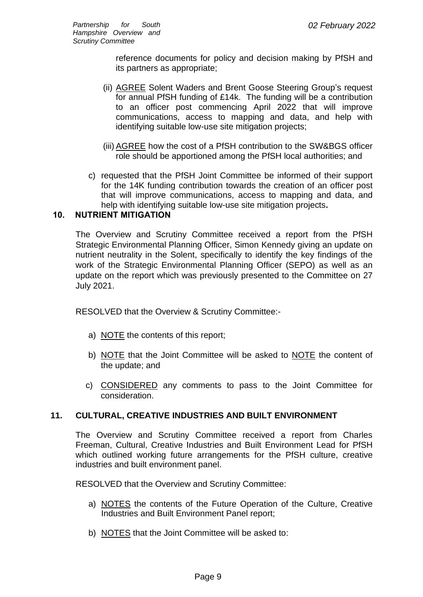reference documents for policy and decision making by PfSH and its partners as appropriate;

- (ii) AGREE Solent Waders and Brent Goose Steering Group's request for annual PfSH funding of £14k. The funding will be a contribution to an officer post commencing April 2022 that will improve communications, access to mapping and data, and help with identifying suitable low-use site mitigation projects;
- (iii) AGREE how the cost of a PfSH contribution to the SW&BGS officer role should be apportioned among the PfSH local authorities; and
- c) requested that the PfSH Joint Committee be informed of their support for the 14K funding contribution towards the creation of an officer post that will improve communications, access to mapping and data, and help with identifying suitable low-use site mitigation projects**.**

# **10. NUTRIENT MITIGATION**

The Overview and Scrutiny Committee received a report from the PfSH Strategic Environmental Planning Officer, Simon Kennedy giving an update on nutrient neutrality in the Solent, specifically to identify the key findings of the work of the Strategic Environmental Planning Officer (SEPO) as well as an update on the report which was previously presented to the Committee on 27 July 2021.

RESOLVED that the Overview & Scrutiny Committee:-

- a) NOTE the contents of this report;
- b) NOTE that the Joint Committee will be asked to NOTE the content of the update; and
- c) CONSIDERED any comments to pass to the Joint Committee for consideration.

# **11. CULTURAL, CREATIVE INDUSTRIES AND BUILT ENVIRONMENT**

The Overview and Scrutiny Committee received a report from Charles Freeman, Cultural, Creative Industries and Built Environment Lead for PfSH which outlined working future arrangements for the PfSH culture, creative industries and built environment panel.

RESOLVED that the Overview and Scrutiny Committee:

- a) NOTES the contents of the Future Operation of the Culture, Creative Industries and Built Environment Panel report;
- b) NOTES that the Joint Committee will be asked to: